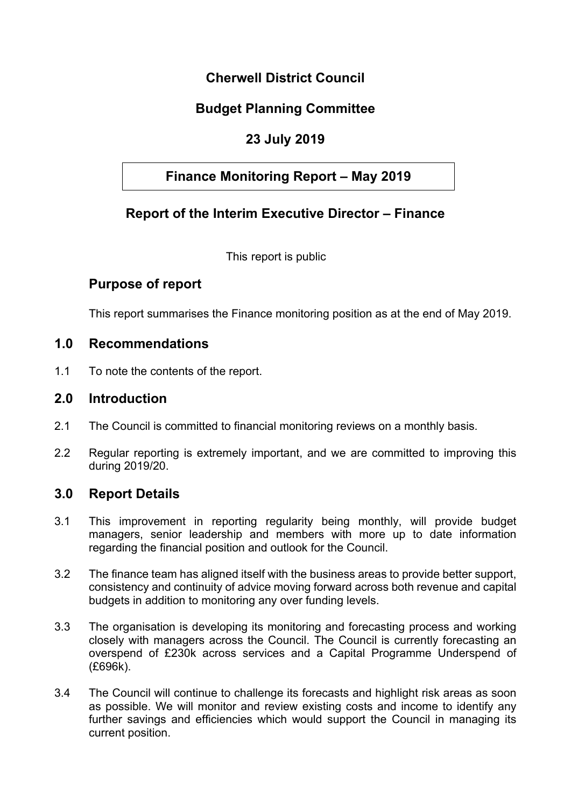# **Cherwell District Council**

# **Budget Planning Committee**

# **23 July 2019**

## **Finance Monitoring Report – May 2019**

# **Report of the Interim Executive Director – Finance**

This report is public

### **Purpose of report**

This report summarises the Finance monitoring position as at the end of May 2019.

#### **1.0 Recommendations**

1.1 To note the contents of the report.

#### **2.0 Introduction**

- 2.1 The Council is committed to financial monitoring reviews on a monthly basis.
- 2.2 Regular reporting is extremely important, and we are committed to improving this during 2019/20.

#### **3.0 Report Details**

- 3.1 This improvement in reporting regularity being monthly, will provide budget managers, senior leadership and members with more up to date information regarding the financial position and outlook for the Council.
- 3.2 The finance team has aligned itself with the business areas to provide better support, consistency and continuity of advice moving forward across both revenue and capital budgets in addition to monitoring any over funding levels.
- 3.3 The organisation is developing its monitoring and forecasting process and working closely with managers across the Council. The Council is currently forecasting an overspend of £230k across services and a Capital Programme Underspend of (£696k).
- 3.4 The Council will continue to challenge its forecasts and highlight risk areas as soon as possible. We will monitor and review existing costs and income to identify any further savings and efficiencies which would support the Council in managing its current position.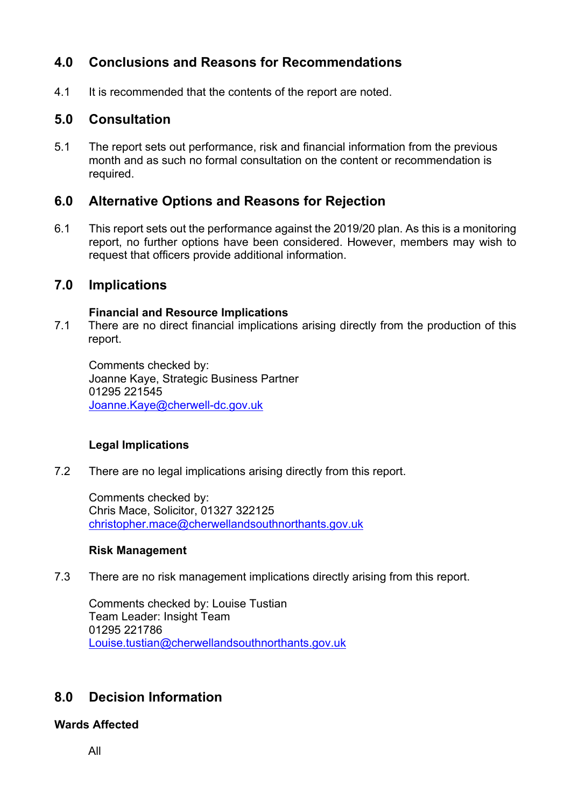# **4.0 Conclusions and Reasons for Recommendations**

4.1 It is recommended that the contents of the report are noted.

### **5.0 Consultation**

5.1 The report sets out performance, risk and financial information from the previous month and as such no formal consultation on the content or recommendation is required.

### **6.0 Alternative Options and Reasons for Rejection**

6.1 This report sets out the performance against the 2019/20 plan. As this is a monitoring report, no further options have been considered. However, members may wish to request that officers provide additional information.

#### **7.0 Implications**

#### **Financial and Resource Implications**

7.1 There are no direct financial implications arising directly from the production of this report.

Comments checked by: Joanne Kaye, Strategic Business Partner 01295 221545 [Joanne.Kaye@cherwell-dc.gov.uk](mailto:Adele.taylor@cherwellandsouthnorthants.gov.uk)

#### **Legal Implications**

7.2 There are no legal implications arising directly from this report.

Comments checked by: Chris Mace, Solicitor, 01327 322125 [christopher.mace@cherwellandsouthnorthants.gov.uk](mailto:christopher.mace@cherwellandsouthnorthants.gov.uk)

#### **Risk Management**

7.3 There are no risk management implications directly arising from this report.

Comments checked by: Louise Tustian Team Leader: Insight Team 01295 221786 [Louise.tustian@cherwellandsouthnorthants.gov.uk](mailto:Louise.tustian@cherwellandsouthnorthants.gov.uk)

## **8.0 Decision Information**

**Wards Affected**